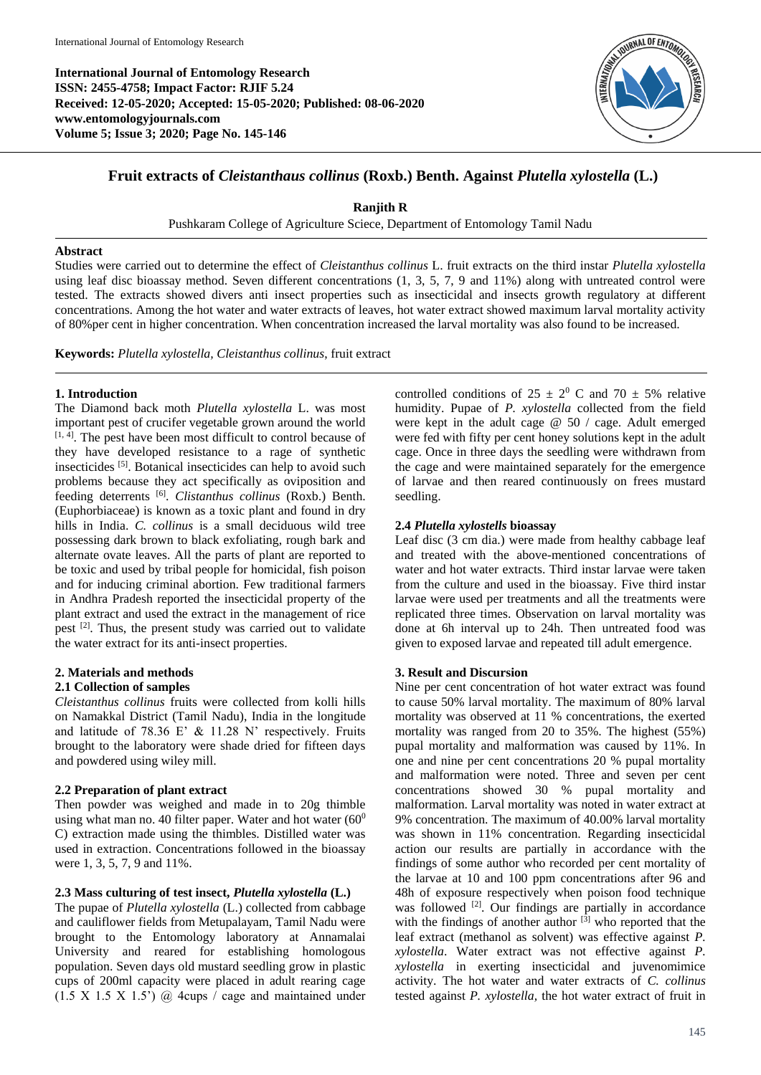**International Journal of Entomology Research ISSN: 2455-4758; Impact Factor: RJIF 5.24 Received: 12-05-2020; Accepted: 15-05-2020; Published: 08-06-2020 www.entomologyjournals.com Volume 5; Issue 3; 2020; Page No. 145-146**



## **Fruit extracts of** *Cleistanthaus collinus* **(Roxb.) Benth. Against** *Plutella xylostella* **(L.)**

**Ranjith R**

Pushkaram College of Agriculture Sciece, Department of Entomology Tamil Nadu

#### **Abstract**

Studies were carried out to determine the effect of *Cleistanthus collinus* L. fruit extracts on the third instar *Plutella xylostella* using leaf disc bioassay method. Seven different concentrations (1, 3, 5, 7, 9 and 11%) along with untreated control were tested. The extracts showed divers anti insect properties such as insecticidal and insects growth regulatory at different concentrations. Among the hot water and water extracts of leaves, hot water extract showed maximum larval mortality activity of 80%per cent in higher concentration. When concentration increased the larval mortality was also found to be increased.

**Keywords:** *Plutella xylostella, Cleistanthus collinus*, fruit extract

#### **1. Introduction**

The Diamond back moth *Plutella xylostella* L. was most important pest of crucifer vegetable grown around the world [1, 4]. The pest have been most difficult to control because of they have developed resistance to a rage of synthetic insecticides [5] . Botanical insecticides can help to avoid such problems because they act specifically as oviposition and feeding deterrents [6] . *Clistanthus collinus* (Roxb.) Benth. (Euphorbiaceae) is known as a toxic plant and found in dry hills in India. *C. collinus* is a small deciduous wild tree possessing dark brown to black exfoliating, rough bark and alternate ovate leaves. All the parts of plant are reported to be toxic and used by tribal people for homicidal, fish poison and for inducing criminal abortion. Few traditional farmers in Andhra Pradesh reported the insecticidal property of the plant extract and used the extract in the management of rice pest <sup>[2]</sup>. Thus, the present study was carried out to validate the water extract for its anti-insect properties.

# **2. Materials and methods**

# **2.1 Collection of samples**

*Cleistanthus collinus* fruits were collected from kolli hills on Namakkal District (Tamil Nadu), India in the longitude and latitude of 78.36 E' & 11.28 N' respectively. Fruits brought to the laboratory were shade dried for fifteen days and powdered using wiley mill.

#### **2.2 Preparation of plant extract**

Then powder was weighed and made in to 20g thimble using what man no. 40 filter paper. Water and hot water  $(60^0)$ C) extraction made using the thimbles. Distilled water was used in extraction. Concentrations followed in the bioassay were 1, 3, 5, 7, 9 and 11%.

#### **2.3 Mass culturing of test insect,** *Plutella xylostella* **(L.)**

The pupae of *Plutella xylostella* (L.) collected from cabbage and cauliflower fields from Metupalayam, Tamil Nadu were brought to the Entomology laboratory at Annamalai University and reared for establishing homologous population. Seven days old mustard seedling grow in plastic cups of 200ml capacity were placed in adult rearing cage  $(1.5 \times 1.5 \times 1.5)$  @ 4cups / cage and maintained under

controlled conditions of  $25 \pm 2^0$  C and  $70 \pm 5\%$  relative humidity. Pupae of *P. xylostella* collected from the field were kept in the adult cage @ 50 / cage. Adult emerged were fed with fifty per cent honey solutions kept in the adult cage. Once in three days the seedling were withdrawn from the cage and were maintained separately for the emergence of larvae and then reared continuously on frees mustard seedling.

#### **2.4** *Plutella xylostells* **bioassay**

Leaf disc (3 cm dia.) were made from healthy cabbage leaf and treated with the above-mentioned concentrations of water and hot water extracts. Third instar larvae were taken from the culture and used in the bioassay. Five third instar larvae were used per treatments and all the treatments were replicated three times. Observation on larval mortality was done at 6h interval up to 24h. Then untreated food was given to exposed larvae and repeated till adult emergence.

#### **3. Result and Discursion**

Nine per cent concentration of hot water extract was found to cause 50% larval mortality. The maximum of 80% larval mortality was observed at 11 % concentrations, the exerted mortality was ranged from 20 to 35%. The highest (55%) pupal mortality and malformation was caused by 11%. In one and nine per cent concentrations 20 % pupal mortality and malformation were noted. Three and seven per cent concentrations showed 30 % pupal mortality and malformation. Larval mortality was noted in water extract at 9% concentration. The maximum of 40.00% larval mortality was shown in 11% concentration. Regarding insecticidal action our results are partially in accordance with the findings of some author who recorded per cent mortality of the larvae at 10 and 100 ppm concentrations after 96 and 48h of exposure respectively when poison food technique was followed <sup>[2]</sup>. Our findings are partially in accordance with the findings of another author  $\left[3\right]$  who reported that the leaf extract (methanol as solvent) was effective against *P. xylostella*. Water extract was not effective against *P. xylostella* in exerting insecticidal and juvenomimice activity. The hot water and water extracts of *C. collinus* tested against *P. xylostella,* the hot water extract of fruit in